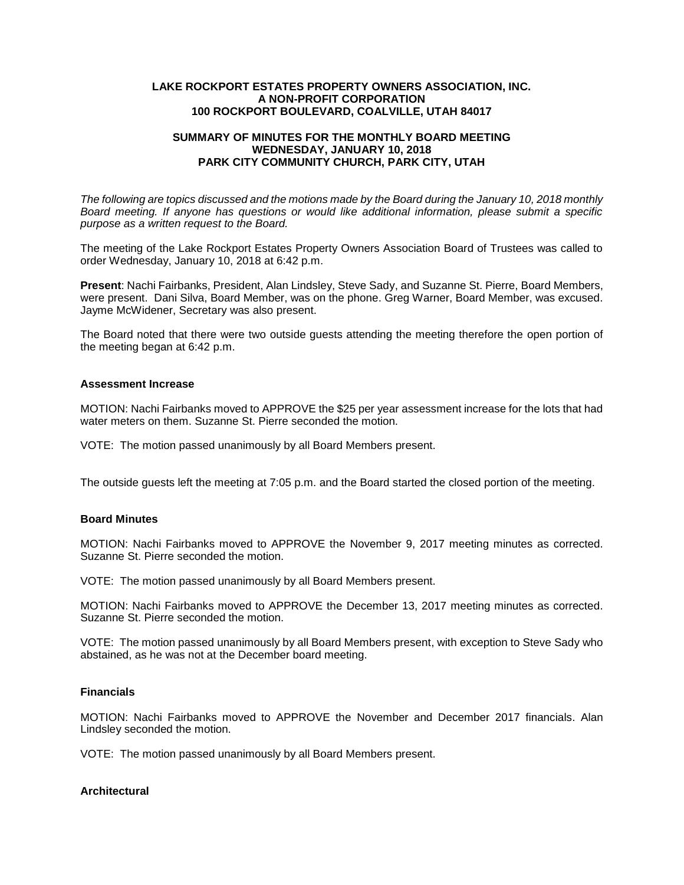#### **LAKE ROCKPORT ESTATES PROPERTY OWNERS ASSOCIATION, INC. A NON-PROFIT CORPORATION 100 ROCKPORT BOULEVARD, COALVILLE, UTAH 84017**

### **SUMMARY OF MINUTES FOR THE MONTHLY BOARD MEETING WEDNESDAY, JANUARY 10, 2018 PARK CITY COMMUNITY CHURCH, PARK CITY, UTAH**

*The following are topics discussed and the motions made by the Board during the January 10, 2018 monthly Board meeting. If anyone has questions or would like additional information, please submit a specific purpose as a written request to the Board.*

The meeting of the Lake Rockport Estates Property Owners Association Board of Trustees was called to order Wednesday, January 10, 2018 at 6:42 p.m.

**Present**: Nachi Fairbanks, President, Alan Lindsley, Steve Sady, and Suzanne St. Pierre, Board Members, were present. Dani Silva, Board Member, was on the phone. Greg Warner, Board Member, was excused. Jayme McWidener, Secretary was also present.

The Board noted that there were two outside guests attending the meeting therefore the open portion of the meeting began at 6:42 p.m.

#### **Assessment Increase**

MOTION: Nachi Fairbanks moved to APPROVE the \$25 per year assessment increase for the lots that had water meters on them. Suzanne St. Pierre seconded the motion.

VOTE: The motion passed unanimously by all Board Members present.

The outside guests left the meeting at 7:05 p.m. and the Board started the closed portion of the meeting.

## **Board Minutes**

MOTION: Nachi Fairbanks moved to APPROVE the November 9, 2017 meeting minutes as corrected. Suzanne St. Pierre seconded the motion.

VOTE: The motion passed unanimously by all Board Members present.

MOTION: Nachi Fairbanks moved to APPROVE the December 13, 2017 meeting minutes as corrected. Suzanne St. Pierre seconded the motion.

VOTE: The motion passed unanimously by all Board Members present, with exception to Steve Sady who abstained, as he was not at the December board meeting.

# **Financials**

MOTION: Nachi Fairbanks moved to APPROVE the November and December 2017 financials. Alan Lindsley seconded the motion.

VOTE: The motion passed unanimously by all Board Members present.

## **Architectural**